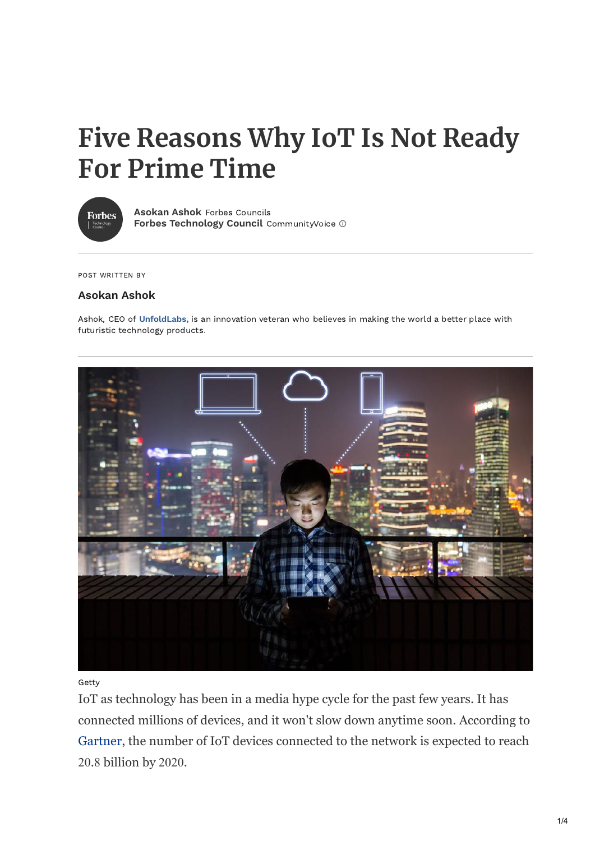# **Five Reasons Why IoT Is Not Ready For Prime Time**



**[Asokan Ashok](https://www.forbes.com/sites/forbestechcouncil/people/asokanshok/)** Forbes Councils **[Forbes Technology Council](http://www.forbes.com/sites/forbestechcouncil/)** CommunityVoice  $\odot$ 

POST WRITTEN BY

#### **Asokan Ashok**

Ashok, CEO of **[UnfoldLabs,](http://www.unfoldlabs.com/)** is an innovation veteran who believes in making the world a better place with futuristic technology products.



Getty

IoT as technology has been in a media hype cycle for the past few years. It has connected millions of devices, and it won't slow down anytime soon. According to [Gartner,](https://www.gartner.com/newsroom/id/3165317) the number of IoT devices connected to the network is expected to reach 20.8 billion by 2020.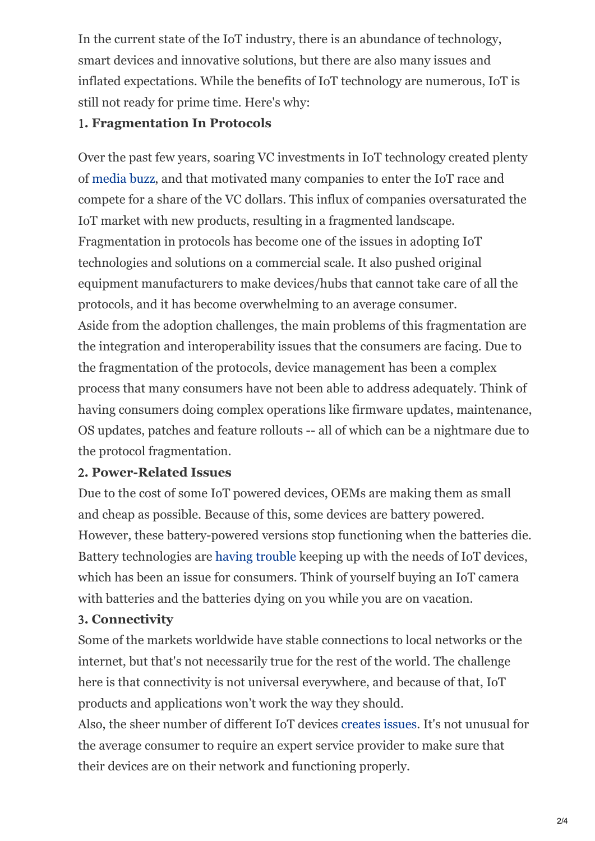In the current state of the IoT industry, there is an abundance of technology, smart devices and innovative solutions, but there are also many issues and inflated expectations. While the benefits of IoT technology are numerous, IoT is still not ready for prime time. Here's why:

### 1**. Fragmentation In Protocols**

Over the past few years, soaring VC investments in IoT technology created plenty of [media buzz](https://newsroom.cisco.com/feature-content?type=webcontent&articleId=1764764), and that motivated many companies to enter the IoT race and compete for a share of the VC dollars. This influx of companies oversaturated the IoT market with new products, resulting in a fragmented landscape. Fragmentation in protocols has become one of the issues in adopting IoT technologies and solutions on a commercial scale. It also pushed original equipment manufacturers to make devices/hubs that cannot take care of all the protocols, and it has become overwhelming to an average consumer. Aside from the adoption challenges, the main problems of this fragmentation are the integration and interoperability issues that the consumers are facing. Due to the fragmentation of the protocols, device management has been a complex process that many consumers have not been able to address adequately. Think of having consumers doing complex operations like firmware updates, maintenance, OS updates, patches and feature rollouts -- all of which can be a nightmare due to the protocol fragmentation.

# 2**. Power-Related Issues**

Due to the cost of some IoT powered devices, OEMs are making them as small and cheap as possible. Because of this, some devices are battery powered. However, these battery-powered versions stop functioning when the batteries die. Battery technologies are [having trouble](http://www.eenewseurope.com/news/iot-wireless-sensors-and-problem-short-battery-life) keeping up with the needs of IoT devices, which has been an issue for consumers. Think of yourself buying an IoT camera with batteries and the batteries dying on you while you are on vacation.

# 3**. Connectivity**

Some of the markets worldwide have stable connections to local networks or the internet, but that's not necessarily true for the rest of the world. The challenge here is that connectivity is not universal everywhere, and because of that, IoT products and applications won't work the way they should.

Also, the sheer number of different IoT devices [creates issues](https://iot.ieee.org/newsletter/march-2017/three-major-challenges-facing-iot.html). It's not unusual for the average consumer to require an expert service provider to make sure that their devices are on their network and functioning properly.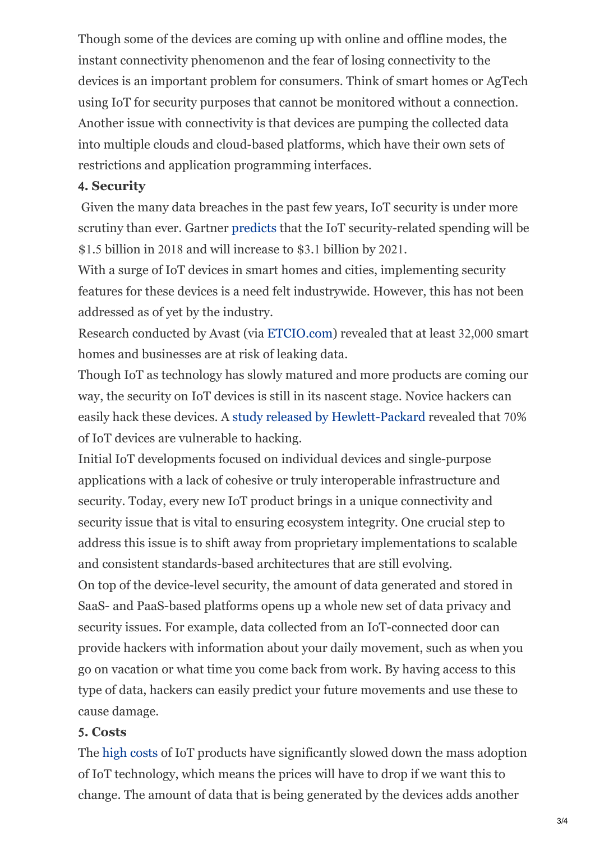Though some of the devices are coming up with online and offline modes, the instant connectivity phenomenon and the fear of losing connectivity to the devices is an important problem for consumers. Think of smart homes or AgTech using IoT for security purposes that cannot be monitored without a connection. Another issue with connectivity is that devices are pumping the collected data into multiple clouds and cloud-based platforms, which have their own sets of restrictions and application programming interfaces.

#### 4**. Security**

 Given the many data breaches in the past few years, IoT security is under more scrutiny than ever. Gartner [predicts](https://www.gartner.com/newsroom/id/3869181) that the IoT security-related spending will be \$1.5 billion in 2018 and will increase to \$3.1 billion by 2021.

With a surge of IoT devices in smart homes and cities, implementing security features for these devices is a need felt industrywide. However, this has not been addressed as of yet by the industry.

Research conducted by Avast (via [ETCIO.com](https://cio.economictimes.indiatimes.com/news/digital-security/more-than-32000-smart-homes-businesses-at-risk-of-leaking-data-research/65436588)) revealed that at least 32,000 smart homes and businesses are at risk of leaking data.

Though IoT as technology has slowly matured and more products are coming our way, the security on IoT devices is still in its nascent stage. Novice hackers can easily hack these devices. A [study released by Hewlett-Packard](https://mashable.com/2014/08/02/internet-of-things-hacking-study/#.SDCHoS3Faqm) revealed that 70% of IoT devices are vulnerable to hacking.

Initial IoT developments focused on individual devices and single-purpose applications with a lack of cohesive or truly interoperable infrastructure and security. Today, every new IoT product brings in a unique connectivity and security issue that is vital to ensuring ecosystem integrity. One crucial step to address this issue is to shift away from proprietary implementations to scalable and consistent standards-based architectures that are still evolving.

On top of the device-level security, the amount of data generated and stored in SaaS- and PaaS-based platforms opens up a whole new set of data privacy and security issues. For example, data collected from an IoT-connected door can provide hackers with information about your daily movement, such as when you go on vacation or what time you come back from work. By having access to this type of data, hackers can easily predict your future movements and use these to cause damage.

#### 5**. Costs**

The [high costs](https://www.emarketer.com/Chart/Barriers-Purchasing-Internet-of-Things-IoT-Devices-Services-According-Internet-Users-Worldwide-Nov-2015-of-respondents/184667) of IoT products have significantly slowed down the mass adoption of IoT technology, which means the prices will have to drop if we want this to change. The amount of data that is being generated by the devices adds another